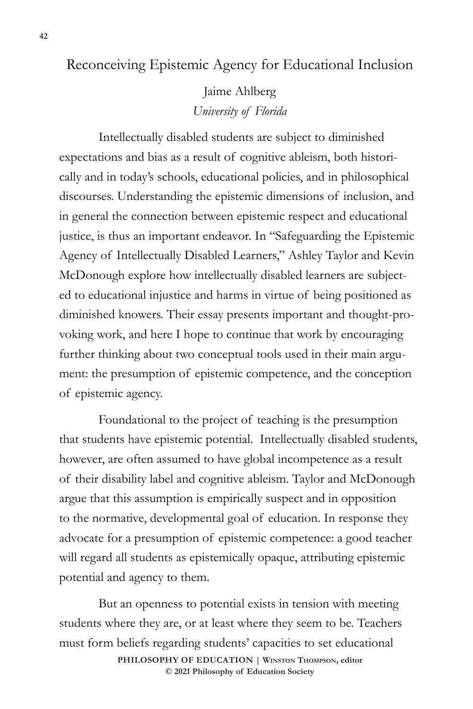## Reconceiving Epistemic Agency for Educational Inclusion

Jaime Ahlberg *University of Florida*

Intellectually disabled students are subject to diminished expectations and bias as a result of cognitive ableism, both historically and in today's schools, educational policies, and in philosophical discourses. Understanding the epistemic dimensions of inclusion, and in general the connection between epistemic respect and educational justice, is thus an important endeavor. In "Safeguarding the Epistemic Agency of Intellectually Disabled Learners," Ashley Taylor and Kevin McDonough explore how intellectually disabled learners are subjected to educational injustice and harms in virtue of being positioned as diminished knowers. Their essay presents important and thought-provoking work, and here I hope to continue that work by encouraging further thinking about two conceptual tools used in their main argument: the presumption of epistemic competence, and the conception of epistemic agency.

Foundational to the project of teaching is the presumption that students have epistemic potential. Intellectually disabled students, however, are often assumed to have global incompetence as a result of their disability label and cognitive ableism. Taylor and McDonough argue that this assumption is empirically suspect and in opposition to the normative, developmental goal of education. In response they advocate for a presumption of epistemic competence: a good teacher will regard all students as epistemically opaque, attributing epistemic potential and agency to them.

But an openness to potential exists in tension with meeting students where they are, or at least where they seem to be. Teachers must form beliefs regarding students' capacities to set educational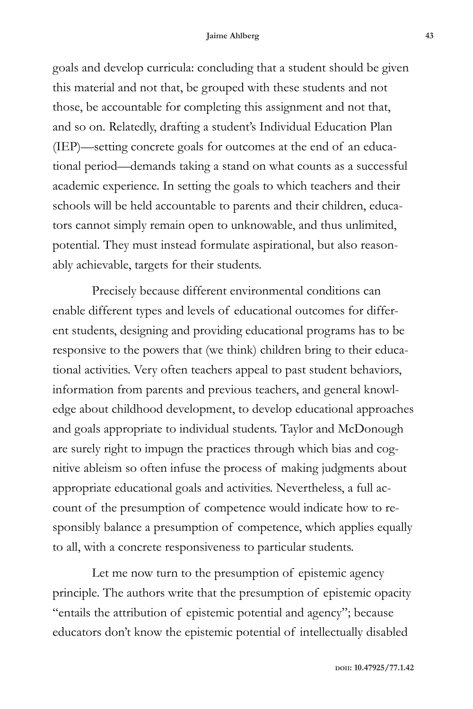goals and develop curricula: concluding that a student should be given this material and not that, be grouped with these students and not those, be accountable for completing this assignment and not that, and so on. Relatedly, drafting a student's Individual Education Plan (IEP)—setting concrete goals for outcomes at the end of an educational period—demands taking a stand on what counts as a successful academic experience. In setting the goals to which teachers and their schools will be held accountable to parents and their children, educators cannot simply remain open to unknowable, and thus unlimited, potential. They must instead formulate aspirational, but also reasonably achievable, targets for their students.

Precisely because different environmental conditions can enable different types and levels of educational outcomes for different students, designing and providing educational programs has to be responsive to the powers that (we think) children bring to their educational activities. Very often teachers appeal to past student behaviors, information from parents and previous teachers, and general knowledge about childhood development, to develop educational approaches and goals appropriate to individual students. Taylor and McDonough are surely right to impugn the practices through which bias and cognitive ableism so often infuse the process of making judgments about appropriate educational goals and activities. Nevertheless, a full account of the presumption of competence would indicate how to responsibly balance a presumption of competence, which applies equally to all, with a concrete responsiveness to particular students.

Let me now turn to the presumption of epistemic agency principle. The authors write that the presumption of epistemic opacity "entails the attribution of epistemic potential and agency"; because educators don't know the epistemic potential of intellectually disabled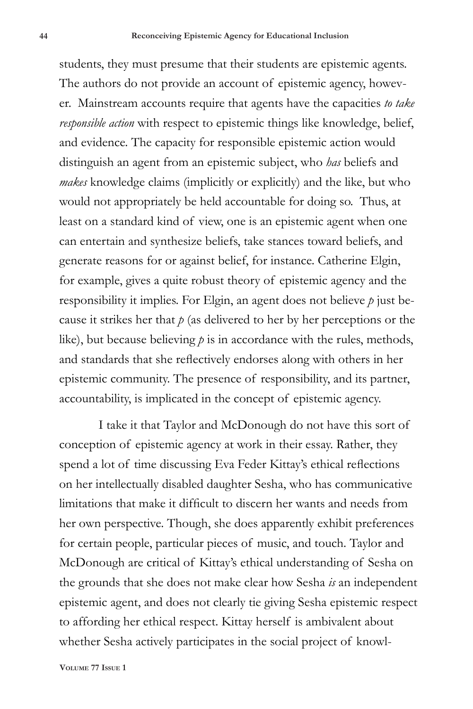students, they must presume that their students are epistemic agents. The authors do not provide an account of epistemic agency, however. Mainstream accounts require that agents have the capacities *to take responsible action* with respect to epistemic things like knowledge, belief, and evidence. The capacity for responsible epistemic action would distinguish an agent from an epistemic subject, who *has* beliefs and *makes* knowledge claims (implicitly or explicitly) and the like, but who would not appropriately be held accountable for doing so. Thus, at least on a standard kind of view, one is an epistemic agent when one can entertain and synthesize beliefs, take stances toward beliefs, and generate reasons for or against belief, for instance. Catherine Elgin, for example, gives a quite robust theory of epistemic agency and the responsibility it implies. For Elgin, an agent does not believe *p* just because it strikes her that *p* (as delivered to her by her perceptions or the like), but because believing *p* is in accordance with the rules, methods, and standards that she reflectively endorses along with others in her epistemic community. The presence of responsibility, and its partner, accountability, is implicated in the concept of epistemic agency.

I take it that Taylor and McDonough do not have this sort of conception of epistemic agency at work in their essay. Rather, they spend a lot of time discussing Eva Feder Kittay's ethical reflections on her intellectually disabled daughter Sesha, who has communicative limitations that make it difficult to discern her wants and needs from her own perspective. Though, she does apparently exhibit preferences for certain people, particular pieces of music, and touch. Taylor and McDonough are critical of Kittay's ethical understanding of Sesha on the grounds that she does not make clear how Sesha *is* an independent epistemic agent, and does not clearly tie giving Sesha epistemic respect to affording her ethical respect. Kittay herself is ambivalent about whether Sesha actively participates in the social project of knowl-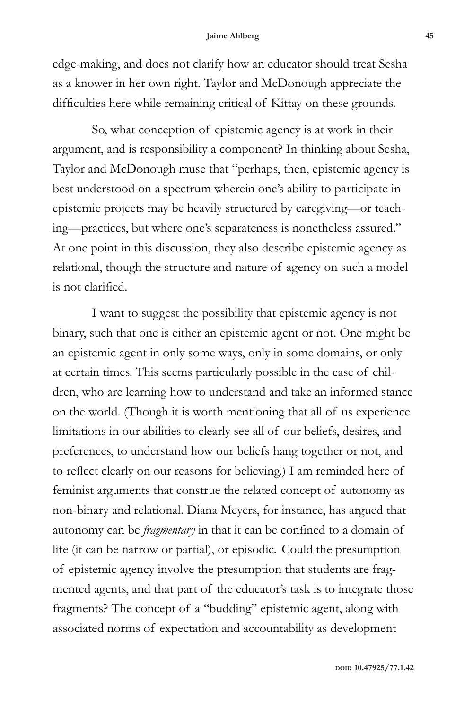## **Jaime Ahlberg 45**

edge-making, and does not clarify how an educator should treat Sesha as a knower in her own right. Taylor and McDonough appreciate the difficulties here while remaining critical of Kittay on these grounds.

So, what conception of epistemic agency is at work in their argument, and is responsibility a component? In thinking about Sesha, Taylor and McDonough muse that "perhaps, then, epistemic agency is best understood on a spectrum wherein one's ability to participate in epistemic projects may be heavily structured by caregiving—or teaching—practices, but where one's separateness is nonetheless assured." At one point in this discussion, they also describe epistemic agency as relational, though the structure and nature of agency on such a model is not clarified.

I want to suggest the possibility that epistemic agency is not binary, such that one is either an epistemic agent or not. One might be an epistemic agent in only some ways, only in some domains, or only at certain times. This seems particularly possible in the case of children, who are learning how to understand and take an informed stance on the world. (Though it is worth mentioning that all of us experience limitations in our abilities to clearly see all of our beliefs, desires, and preferences, to understand how our beliefs hang together or not, and to reflect clearly on our reasons for believing.) I am reminded here of feminist arguments that construe the related concept of autonomy as non-binary and relational. Diana Meyers, for instance, has argued that autonomy can be *fragmentary* in that it can be confined to a domain of life (it can be narrow or partial), or episodic. Could the presumption of epistemic agency involve the presumption that students are fragmented agents, and that part of the educator's task is to integrate those fragments? The concept of a "budding" epistemic agent, along with associated norms of expectation and accountability as development